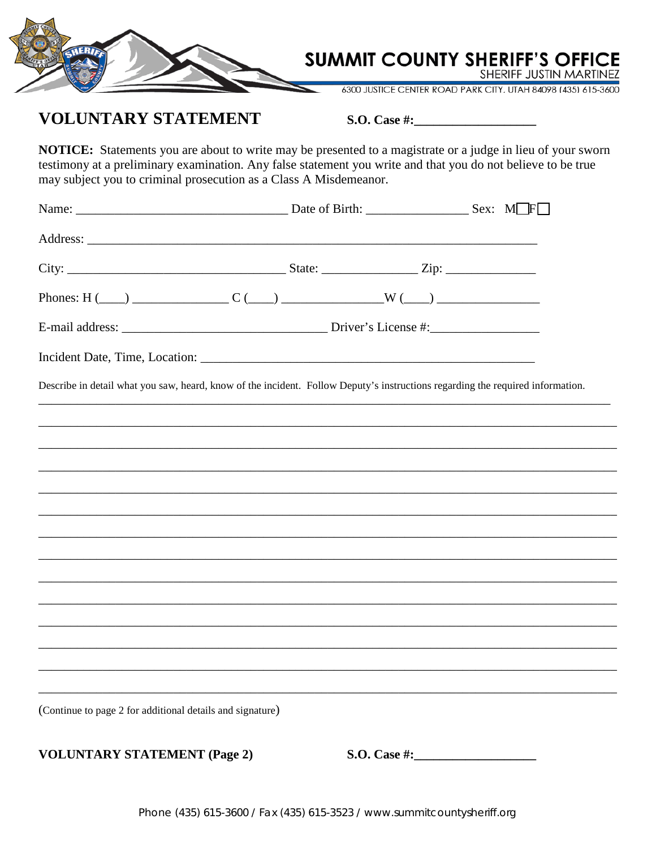

## **VOLUNTARY STATEMENT**

S.O. Case  $\#$ :

NOTICE: Statements you are about to write may be presented to a magistrate or a judge in lieu of your sworn testimony at a preliminary examination. Any false statement you write and that you do not believe to be true may subject you to criminal prosecution as a Class A Misdemeanor.

| Describe in detail what you saw, heard, know of the incident. Follow Deputy's instructions regarding the required information. |  |  |  |  |  |
|--------------------------------------------------------------------------------------------------------------------------------|--|--|--|--|--|
|                                                                                                                                |  |  |  |  |  |
|                                                                                                                                |  |  |  |  |  |
|                                                                                                                                |  |  |  |  |  |
|                                                                                                                                |  |  |  |  |  |
|                                                                                                                                |  |  |  |  |  |
|                                                                                                                                |  |  |  |  |  |
|                                                                                                                                |  |  |  |  |  |
|                                                                                                                                |  |  |  |  |  |
|                                                                                                                                |  |  |  |  |  |
|                                                                                                                                |  |  |  |  |  |
| (Continue to page 2 for additional details and signature)                                                                      |  |  |  |  |  |

**VOLUNTARY STATEMENT (Page 2)**